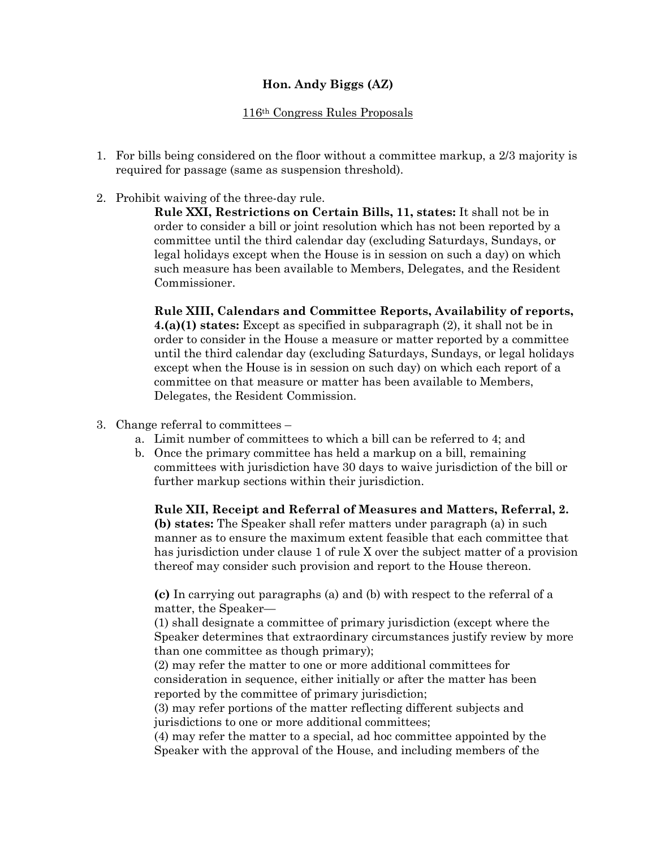## **Hon. Andy Biggs (AZ)**

## 116th Congress Rules Proposals

- 1. For bills being considered on the floor without a committee markup, a 2/3 majority is required for passage (same as suspension threshold).
- 2. Prohibit waiving of the three-day rule.

**Rule XXI, Restrictions on Certain Bills, 11, states:** It shall not be in order to consider a bill or joint resolution which has not been reported by a committee until the third calendar day (excluding Saturdays, Sundays, or legal holidays except when the House is in session on such a day) on which such measure has been available to Members, Delegates, and the Resident Commissioner.

**Rule XIII, Calendars and Committee Reports, Availability of reports, 4.(a)(1) states:** Except as specified in subparagraph (2), it shall not be in order to consider in the House a measure or matter reported by a committee until the third calendar day (excluding Saturdays, Sundays, or legal holidays except when the House is in session on such day) on which each report of a committee on that measure or matter has been available to Members, Delegates, the Resident Commission.

- 3. Change referral to committees
	- a. Limit number of committees to which a bill can be referred to 4; and
	- b. Once the primary committee has held a markup on a bill, remaining committees with jurisdiction have 30 days to waive jurisdiction of the bill or further markup sections within their jurisdiction.

**Rule XII, Receipt and Referral of Measures and Matters, Referral, 2. (b) states:** The Speaker shall refer matters under paragraph (a) in such manner as to ensure the maximum extent feasible that each committee that has jurisdiction under clause 1 of rule X over the subject matter of a provision thereof may consider such provision and report to the House thereon.

**(c)** In carrying out paragraphs (a) and (b) with respect to the referral of a matter, the Speaker—

(1) shall designate a committee of primary jurisdiction (except where the Speaker determines that extraordinary circumstances justify review by more than one committee as though primary);

(2) may refer the matter to one or more additional committees for consideration in sequence, either initially or after the matter has been reported by the committee of primary jurisdiction;

(3) may refer portions of the matter reflecting different subjects and jurisdictions to one or more additional committees;

(4) may refer the matter to a special, ad hoc committee appointed by the Speaker with the approval of the House, and including members of the